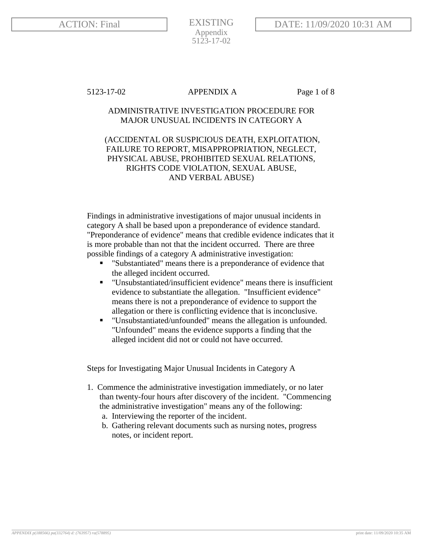EXISTING Appendix 5123-17-02

# 5123-17-02 APPENDIX A Page 1 of 8

# ADMINISTRATIVE INVESTIGATION PROCEDURE FOR MAJOR UNUSUAL INCIDENTS IN CATEGORY A

# (ACCIDENTAL OR SUSPICIOUS DEATH, EXPLOITATION, FAILURE TO REPORT, MISAPPROPRIATION, NEGLECT, PHYSICAL ABUSE, PROHIBITED SEXUAL RELATIONS, RIGHTS CODE VIOLATION, SEXUAL ABUSE, AND VERBAL ABUSE)

Findings in administrative investigations of major unusual incidents in category A shall be based upon a preponderance of evidence standard. "Preponderance of evidence" means that credible evidence indicates that it is more probable than not that the incident occurred. There are three possible findings of a category A administrative investigation:

- "Substantiated" means there is a preponderance of evidence that the alleged incident occurred.
- "Unsubstantiated/insufficient evidence" means there is insufficient evidence to substantiate the allegation. "Insufficient evidence" means there is not a preponderance of evidence to support the allegation or there is conflicting evidence that is inconclusive.
- "Unsubstantiated/unfounded" means the allegation is unfounded. "Unfounded" means the evidence supports a finding that the alleged incident did not or could not have occurred.

Steps for Investigating Major Unusual Incidents in Category A

- 1. Commence the administrative investigation immediately, or no later than twenty-four hours after discovery of the incident. "Commencing the administrative investigation" means any of the following:
	- a. Interviewing the reporter of the incident.
	- b. Gathering relevant documents such as nursing notes, progress notes, or incident report.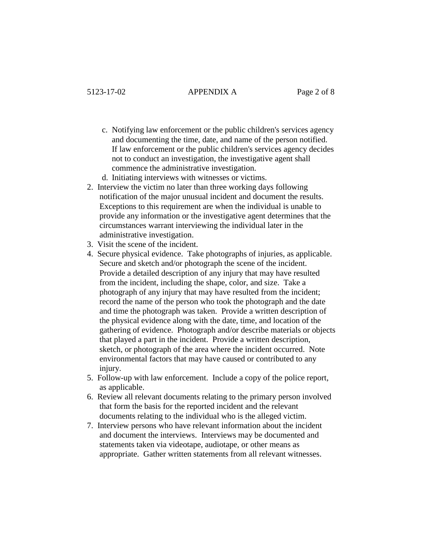- c. Notifying law enforcement or the public children's services agency and documenting the time, date, and name of the person notified. If law enforcement or the public children's services agency decides not to conduct an investigation, the investigative agent shall commence the administrative investigation.
- d. Initiating interviews with witnesses or victims.
- 2. Interview the victim no later than three working days following notification of the major unusual incident and document the results. Exceptions to this requirement are when the individual is unable to provide any information or the investigative agent determines that the circumstances warrant interviewing the individual later in the administrative investigation.
- 3. Visit the scene of the incident.
- 4. Secure physical evidence. Take photographs of injuries, as applicable. Secure and sketch and/or photograph the scene of the incident. Provide a detailed description of any injury that may have resulted from the incident, including the shape, color, and size. Take a photograph of any injury that may have resulted from the incident; record the name of the person who took the photograph and the date and time the photograph was taken. Provide a written description of the physical evidence along with the date, time, and location of the gathering of evidence. Photograph and/or describe materials or objects that played a part in the incident. Provide a written description, sketch, or photograph of the area where the incident occurred. Note environmental factors that may have caused or contributed to any injury.
- 5. Follow-up with law enforcement. Include a copy of the police report, as applicable.
- 6. Review all relevant documents relating to the primary person involved that form the basis for the reported incident and the relevant documents relating to the individual who is the alleged victim.
- 7. Interview persons who have relevant information about the incident and document the interviews. Interviews may be documented and statements taken via videotape, audiotape, or other means as appropriate. Gather written statements from all relevant witnesses.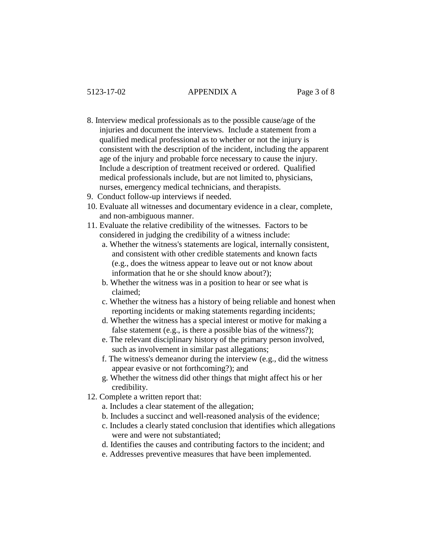- 8. Interview medical professionals as to the possible cause/age of the injuries and document the interviews. Include a statement from a qualified medical professional as to whether or not the injury is consistent with the description of the incident, including the apparent age of the injury and probable force necessary to cause the injury. Include a description of treatment received or ordered. Qualified medical professionals include, but are not limited to, physicians, nurses, emergency medical technicians, and therapists.
- 9. Conduct follow-up interviews if needed.
- 10. Evaluate all witnesses and documentary evidence in a clear, complete, and non-ambiguous manner.
- 11. Evaluate the relative credibility of the witnesses. Factors to be considered in judging the credibility of a witness include:
	- a. Whether the witness's statements are logical, internally consistent, and consistent with other credible statements and known facts (e.g., does the witness appear to leave out or not know about information that he or she should know about?);
	- b. Whether the witness was in a position to hear or see what is claimed;
	- c. Whether the witness has a history of being reliable and honest when reporting incidents or making statements regarding incidents;
	- d. Whether the witness has a special interest or motive for making a false statement (e.g., is there a possible bias of the witness?);
	- e. The relevant disciplinary history of the primary person involved, such as involvement in similar past allegations;
	- f. The witness's demeanor during the interview (e.g., did the witness appear evasive or not forthcoming?); and
	- g. Whether the witness did other things that might affect his or her credibility.
- 12. Complete a written report that:
	- a. Includes a clear statement of the allegation;
	- b. Includes a succinct and well-reasoned analysis of the evidence;
	- c. Includes a clearly stated conclusion that identifies which allegations were and were not substantiated;
	- d. Identifies the causes and contributing factors to the incident; and
	- e. Addresses preventive measures that have been implemented.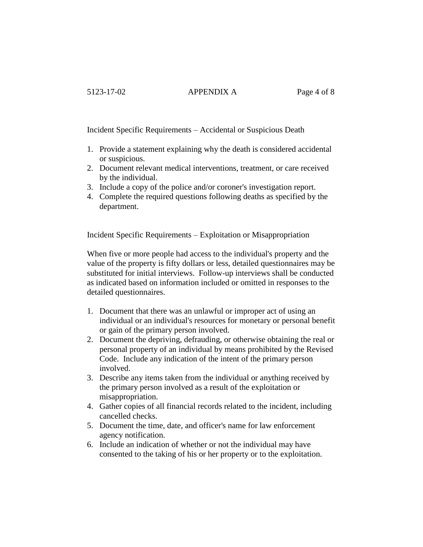### 5123-17-02 APPENDIX A Page 4 of 8

Incident Specific Requirements – Accidental or Suspicious Death

- 1. Provide a statement explaining why the death is considered accidental or suspicious.
- 2. Document relevant medical interventions, treatment, or care received by the individual.
- 3. Include a copy of the police and/or coroner's investigation report.
- 4. Complete the required questions following deaths as specified by the department.

Incident Specific Requirements – Exploitation or Misappropriation

When five or more people had access to the individual's property and the value of the property is fifty dollars or less, detailed questionnaires may be substituted for initial interviews. Follow-up interviews shall be conducted as indicated based on information included or omitted in responses to the detailed questionnaires.

- 1. Document that there was an unlawful or improper act of using an individual or an individual's resources for monetary or personal benefit or gain of the primary person involved.
- 2. Document the depriving, defrauding, or otherwise obtaining the real or personal property of an individual by means prohibited by the Revised Code. Include any indication of the intent of the primary person involved.
- 3. Describe any items taken from the individual or anything received by the primary person involved as a result of the exploitation or misappropriation.
- 4. Gather copies of all financial records related to the incident, including cancelled checks.
- 5. Document the time, date, and officer's name for law enforcement agency notification.
- 6. Include an indication of whether or not the individual may have consented to the taking of his or her property or to the exploitation.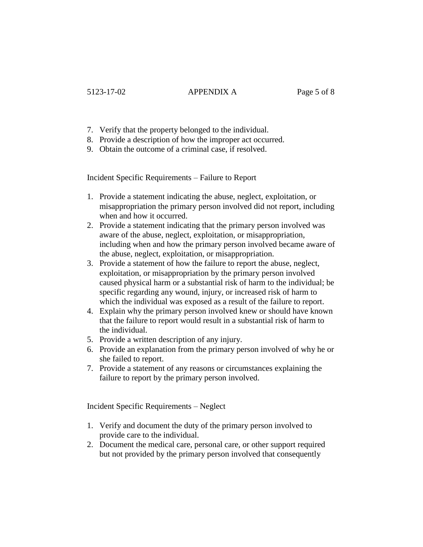- 7. Verify that the property belonged to the individual.
- 8. Provide a description of how the improper act occurred.
- 9. Obtain the outcome of a criminal case, if resolved.

Incident Specific Requirements – Failure to Report

- 1. Provide a statement indicating the abuse, neglect, exploitation, or misappropriation the primary person involved did not report, including when and how it occurred.
- 2. Provide a statement indicating that the primary person involved was aware of the abuse, neglect, exploitation, or misappropriation, including when and how the primary person involved became aware of the abuse, neglect, exploitation, or misappropriation.
- 3. Provide a statement of how the failure to report the abuse, neglect, exploitation, or misappropriation by the primary person involved caused physical harm or a substantial risk of harm to the individual; be specific regarding any wound, injury, or increased risk of harm to which the individual was exposed as a result of the failure to report.
- 4. Explain why the primary person involved knew or should have known that the failure to report would result in a substantial risk of harm to the individual.
- 5. Provide a written description of any injury.
- 6. Provide an explanation from the primary person involved of why he or she failed to report.
- 7. Provide a statement of any reasons or circumstances explaining the failure to report by the primary person involved.

Incident Specific Requirements – Neglect

- 1. Verify and document the duty of the primary person involved to provide care to the individual.
- 2. Document the medical care, personal care, or other support required but not provided by the primary person involved that consequently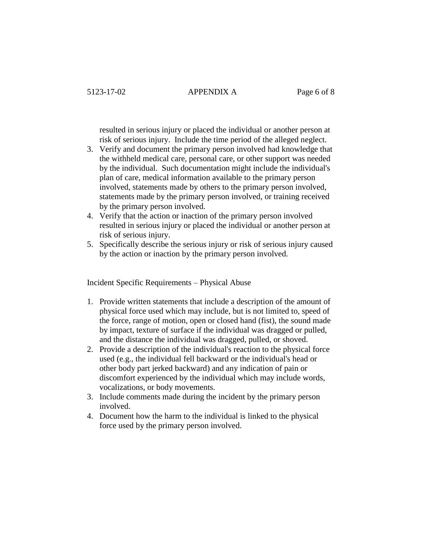#### 5123-17-02 APPENDIX A Page 6 of 8

resulted in serious injury or placed the individual or another person at risk of serious injury. Include the time period of the alleged neglect.

- 3. Verify and document the primary person involved had knowledge that the withheld medical care, personal care, or other support was needed by the individual. Such documentation might include the individual's plan of care, medical information available to the primary person involved, statements made by others to the primary person involved, statements made by the primary person involved, or training received by the primary person involved.
- 4. Verify that the action or inaction of the primary person involved resulted in serious injury or placed the individual or another person at risk of serious injury.
- 5. Specifically describe the serious injury or risk of serious injury caused by the action or inaction by the primary person involved.

Incident Specific Requirements – Physical Abuse

- 1. Provide written statements that include a description of the amount of physical force used which may include, but is not limited to, speed of the force, range of motion, open or closed hand (fist), the sound made by impact, texture of surface if the individual was dragged or pulled, and the distance the individual was dragged, pulled, or shoved.
- 2. Provide a description of the individual's reaction to the physical force used (e.g., the individual fell backward or the individual's head or other body part jerked backward) and any indication of pain or discomfort experienced by the individual which may include words, vocalizations, or body movements.
- 3. Include comments made during the incident by the primary person involved.
- 4. Document how the harm to the individual is linked to the physical force used by the primary person involved.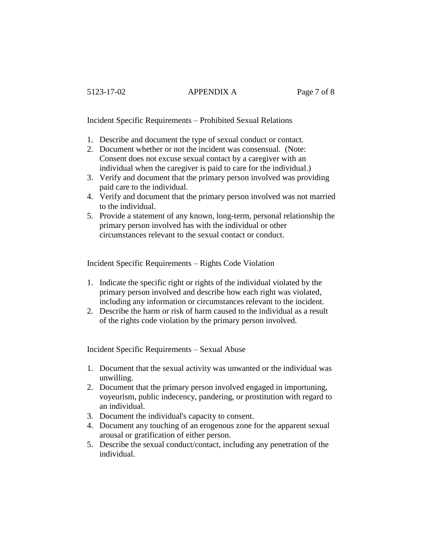# 5123-17-02 APPENDIX A Page 7 of 8

Incident Specific Requirements – Prohibited Sexual Relations

- 1. Describe and document the type of sexual conduct or contact.
- 2. Document whether or not the incident was consensual. (Note: Consent does not excuse sexual contact by a caregiver with an individual when the caregiver is paid to care for the individual.)
- 3. Verify and document that the primary person involved was providing paid care to the individual.
- 4. Verify and document that the primary person involved was not married to the individual.
- 5. Provide a statement of any known, long-term, personal relationship the primary person involved has with the individual or other circumstances relevant to the sexual contact or conduct.

Incident Specific Requirements – Rights Code Violation

- 1. Indicate the specific right or rights of the individual violated by the primary person involved and describe how each right was violated, including any information or circumstances relevant to the incident.
- 2. Describe the harm or risk of harm caused to the individual as a result of the rights code violation by the primary person involved.

Incident Specific Requirements – Sexual Abuse

- 1. Document that the sexual activity was unwanted or the individual was unwilling.
- 2. Document that the primary person involved engaged in importuning, voyeurism, public indecency, pandering, or prostitution with regard to an individual.
- 3. Document the individual's capacity to consent.
- 4. Document any touching of an erogenous zone for the apparent sexual arousal or gratification of either person.
- 5. Describe the sexual conduct/contact, including any penetration of the individual.